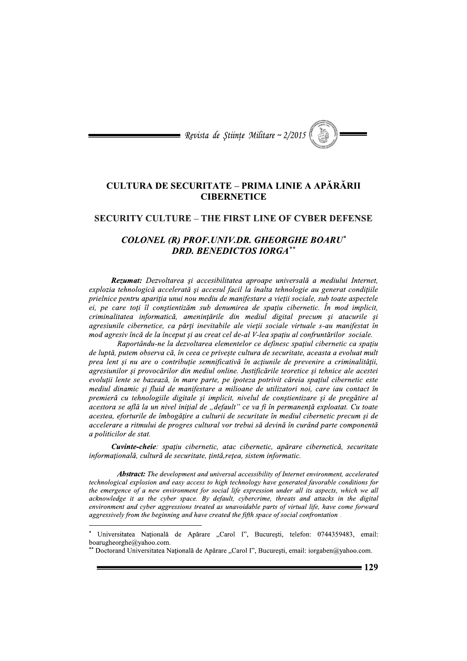

### **CULTURA DE SECURITATE - PRIMA LINIE A APĂRĂRII CIBERNETICE**

#### **SECURITY CULTURE – THE FIRST LINE OF CYBER DEFENSE**

### **COLONEL (R) PROF.UNIV.DR. GHEORGHE BOARU\* DRD. BENEDICTOS IORGA\*\***

Rezumat: Dezvoltarea și accesibilitatea aproape universală a mediului Internet, explozia tehnologică accelerată și accesul facil la înalta tehnologie au generat condițiile prielnice pentru apariția unui nou mediu de manifestare a vieții sociale, sub toate aspectele ei, pe care toți îl constientizăm sub denumirea de spațiu cibernetic. În mod implicit, criminalitatea informatică, amenințările din mediul digital precum și atacurile și agresiunile cibernetice, ca părți inevitabile ale vieții sociale virtuale s-au manifestat în mod agresiv încă de la început și au creat cel de-al V-lea spațiu al confruntărilor sociale.

Raportându-ne la dezvoltarea elementelor ce definesc spatiul cibernetic ca spatiu de luptă, putem observa că, în ceea ce priveste cultura de securitate, aceasta a evoluat mult prea lent și nu are o contribuție semnificativă în acțiunile de prevenire a criminalității, agresiunilor și provocărilor din mediul online. Justificările teoretice și tehnice ale acestei evoluții lente se bazează, în mare parte, pe ipoteza potrivit căreia spațiul cibernetic este mediul dinamic și fluid de manifestare a milioane de utilizatori noi, care iau contact în premieră cu tehnologiile digitale și implicit, nivelul de conștientizare și de pregătire al acestora se află la un nivel inițial de "default" ce va fi în permanență exploatat. Cu toate acestea, eforturile de îmbogățire a culturii de securitate în mediul cibernetic precum și de accelerare a ritmului de progres cultural vor trebui să devină în curând parte componentă a politicilor de stat.

Cuvinte-cheie: spațiu cibernetic, atac cibernetic, apărare cibernetică, securitate informațională, cultură de securitate, țintă, rețea, sistem informatic.

**Abstract:** The development and universal accessibility of Internet environment, accelerated technological explosion and easy access to high technology have generated favorable conditions for the emergence of a new environment for social life expression under all its aspects, which we all acknowledge it as the cyber space. By default, cybercrime, threats and attacks in the digital environment and cyber aggressions treated as unavoidable parts of virtual life, have come forward aggressively from the beginning and have created the fifth space of social confrontation.

Universitatea Națională de Apărare "Carol I", București, telefon: 0744359483, email: boarugheorghe@yahoo.com.

Doctorand Universitatea Națională de Apărare "Carol I", București, email: iorgaben@yahoo.com.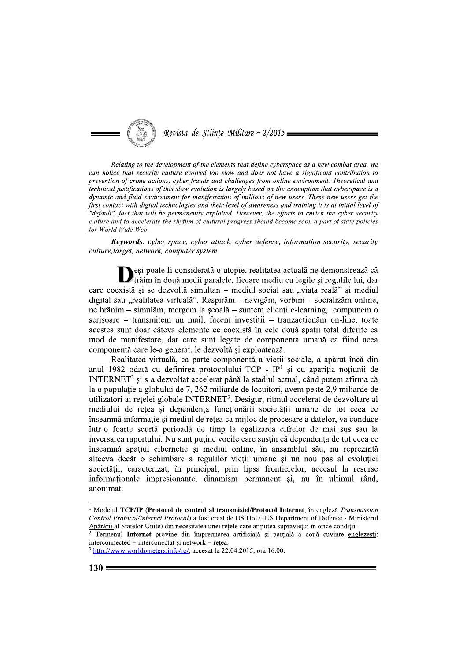

Relating to the development of the elements that define cyberspace as a new combat area, we can notice that security culture evolved too slow and does not have a significant contribution to prevention of crime actions, cyber frauds and challenges from online environment. Theoretical and technical justifications of this slow evolution is largely based on the assumption that cyberspace is a dynamic and fluid environment for manifestation of millions of new users. These new users get the first contact with digital technologies and their level of awareness and training it is at initial level of "default", fact that will be permanently exploited. However, the efforts to enrich the cyber security culture and to accelerate the rhythm of cultural progress should become soon a part of state policies for World Wide Web.

Keywords: cyber space, cyber attack, cyber defense, information security, security culture, target, network, computer system.

Deși poate fi considerată o utopie, realitatea actuală ne demonstrează că trăim în două medii paralele, fiecare mediu cu legile și regulile lui, dar care coexistă și se dezvoltă simultan – mediul social sau "viata reală" și mediul digital sau "realitatea virtuală". Respirăm – navigăm, vorbim – socializăm online, ne hrănim – simulăm, mergem la școală – suntem clienți e-learning, compunem o scrisoare – transmitem un mail, facem investiții – tranzacționăm on-line, toate acestea sunt doar câteva elemente ce coexistă în cele două spații total diferite ca mod de manifestare, dar care sunt legate de componenta umană ca fiind acea componentă care le-a generat, le dezvoltă și exploatează.

Realitatea virtuală, ca parte componentă a vietii sociale, a apărut încă din anul 1982 odată cu definirea protocolului TCP - IP<sup>1</sup> și cu apariția noțiunii de INTERNET<sup>2</sup> si s-a dezvoltat accelerat până la stadiul actual, când putem afirma că la o populație a globului de 7, 262 miliarde de locuitori, avem peste 2,9 miliarde de utilizatori ai rețelei globale INTERNET<sup>3</sup>. Desigur, ritmul accelerat de dezvoltare al mediului de rețea și dependența funcționării societății umane de tot ceea ce înseamnă informație și mediul de rețea ca mijloc de procesare a datelor, va conduce într-o foarte scurtă perioadă de timp la egalizarea cifrelor de mai sus sau la inversarea raportului. Nu sunt puține vocile care susțin că dependența de tot ceea ce înseamnă spațiul cibernetic și mediul online, în ansamblul său, nu reprezintă alteeva decât o schimbare a regulilor vieții umane și un nou pas al evoluției societății, caracterizat, în principal, prin lipsa frontierelor, accesul la resurse informationale impresionante, dinamism permanent si, nu în ultimul rând, anonimat.

<sup>&</sup>lt;sup>1</sup> Modelul TCP/IP (Protocol de control al transmisiei/Protocol Internet, în engleză Transmission Control Protocol/Internet Protocol) a fost creat de US DoD (US Department of Defence - Ministerul Apărării al Statelor Unite) din necesitatea unei rețele care ar putea supraviețui în orice condiții.

Termenul Internet provine din împreunarea artificială și parțială a două cuvinte englezești:  $interconnected = interconectat \, si \, network = retea.$ 

<sup>&</sup>lt;sup>3</sup> http://www.worldometers.info/ro/, accesat la 22.04.2015, ora 16.00.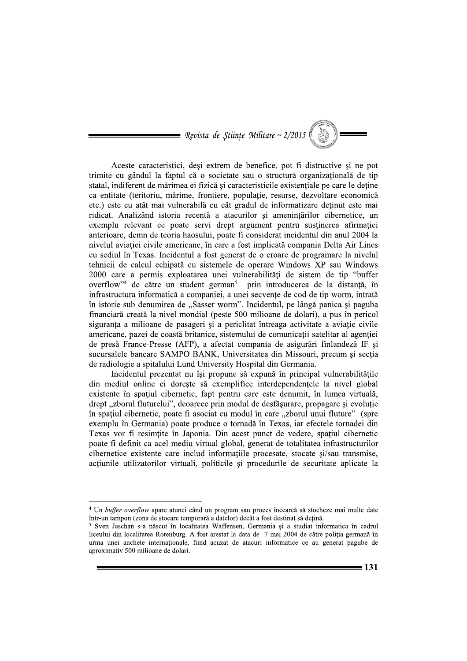= Revista de Științe Militare ~  $2/2015$ 

Aceste caracteristici, deși extrem de benefice, pot fi distructive și ne pot trimite cu gândul la faptul că o societate sau o structură organizațională de tip statal, indiferent de mărimea ei fizică și caracteristicile existentiale pe care le detine ca entitate (teritoriu, mărime, frontiere, populație, resurse, dezvoltare economică etc.) este cu atât mai vulnerabilă cu cât gradul de informatizare detinut este mai ridicat. Analizând istoria recentă a atacurilor și amenințărilor cibernetice, un exemplu relevant ce poate servi drept argument pentru susținerea afirmației anterioare, demn de teoria haosului, poate fi considerat incidentul din anul 2004 la nivelul aviației civile americane, în care a fost implicată compania Delta Air Lines cu sediul în Texas. Incidentul a fost generat de o eroare de programare la nivelul tehnicii de calcul echipată cu sistemele de operare Windows XP sau Windows 2000 care a permis exploatarea unei vulnerabilități de sistem de tip "buffer overflow"<sup>4</sup> de către un student german<sup>5</sup> prin introducerea de la distantă, în infrastructura informatică a companiei, a unei secvente de cod de tip worm, intrată în istorie sub denumirea de "Sasser worm". Incidentul, pe lângă panica și paguba financiară creată la nivel mondial (peste 500 milioane de dolari), a pus în pericol siguranța a milioane de pasageri și a periclitat întreaga activitate a aviație civile americane, pazei de coastă britanice, sistemului de comunicații satelitar al agenției de presă France-Presse (AFP), a afectat compania de asigurări finlandeză IF și sucursalele bancare SAMPO BANK, Universitatea din Missouri, precum și secția de radiologie a spitalului Lund University Hospital din Germania.

Incidentul prezentat nu își propune să expună în principal vulnerabilitățile din mediul online ci doreste să exemplifice interdependentele la nivel global existente în spațiul cibernetic, fapt pentru care este denumit, în lumea virtuală, drept "zborul fluturelui", deoarece prin modul de desfășurare, propagare și evoluție în spațiul cibernetic, poate fi asociat cu modul în care "zborul unui fluture" (spre exemplu în Germania) poate produce o tornadă în Texas, iar efectele tornadei din Texas vor fi resimțite în Japonia. Din acest punct de vedere, spațiul cibernetic poate fi definit ca acel mediu virtual global, generat de totalitatea infrastructurilor cibernetice existente care includ informațiile procesate, stocate și/sau transmise, acțiunile utilizatorilor virtuali, politicile și procedurile de securitate aplicate la

<sup>&</sup>lt;sup>4</sup> Un buffer overflow apare atunci când un program sau proces încearcă să stocheze mai multe date într-un tampon (zona de stocare temporară a datelor) decât a fost destinat să detină.

<sup>&</sup>lt;sup>5</sup> Sven Jaschan s-a născut în localitatea Waffensen, Germania și a studiat informatica în cadrul liceului din localitatea Rotenburg. A fost arestat la data de 7 mai 2004 de către poliția germană în urma unei anchete internaționale, fiind acuzat de atacuri informatice ce au generat pagube de aproximativ 500 milioane de dolari.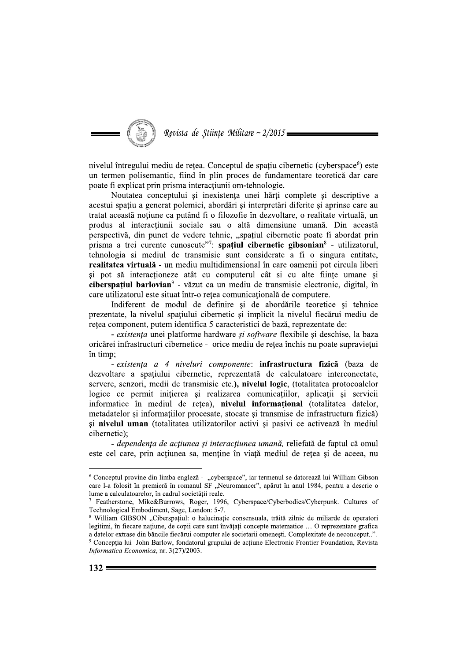

nivelul întregului mediu de rețea. Conceptul de spațiu cibernetic (cyberspace<sup>6</sup>) este un termen polisemantic, fiind în plin proces de fundamentare teoretică dar care poate fi explicat prin prisma interactiunii om-tehnologie.

Noutatea conceptului și inexistența unei hărți complete și descriptive a acestui spatiu a generat polemici, abordări și interpretări diferite și aprinse care au tratat această noțiune ca putând fi o filozofie în dezvoltare, o realitate virtuală, un produs al interacțiunii sociale sau o altă dimensiune umană. Din această perspectivă, din punct de vedere tehnic, "spațiul cibernetic poate fi abordat prin prisma a trei curente cunoscute"?: spatiul cibernetic gibsonian<sup>8</sup> - utilizatorul, tehnologia si mediul de transmisie sunt considerate a fi o singura entitate, realitatea virtuală - un mediu multidimensional în care oamenii pot circula liberi și pot să interacționeze atât cu computerul cât si cu alte ființe umane și ciberspatiul barlovian<sup>9</sup> - văzut ca un mediu de transmisie electronic, digital, în care utilizatorul este situat într-o retea comunicatională de computere.

Indiferent de modul de definire și de abordările teoretice și tehnice prezentate, la nivelul spatiului cibernetic si implicit la nivelul fiecărui mediu de retea component, putem identifica 5 caracteristici de bază, reprezentate de:

- existența unei platforme hardware și software flexibile și deschise, la baza oricărei infrastructuri cibernetice - orice mediu de rețea închis nu poate supraviețui în timp:

- existența a 4 niveluri componente: infrastructura fizică (baza de dezvoltare a spatiului cibernetic, reprezentată de calculatoare interconectate, servere, senzori, medii de transmisie etc.), nivelul logic, (totalitatea protocoalelor logice ce permit inițierea și realizarea comunicațiilor, aplicații și servicii informatice în mediul de rețea), nivelul informațional (totalitatea datelor, metadatelor și informațiilor procesate, stocate și transmise de infrastructura fizică) și nivelul uman (totalitatea utilizatorilor activi și pasivi ce activează în mediul cibernetic);

- dependența de acțiunea și interacțiunea umană, reliefată de faptul că omul este cel care, prin acțiunea sa, menține în viață mediul de rețea și de aceea, nu

<sup>&</sup>lt;sup>6</sup> Conceptul provine din limba engleză - "cyberspace", iar termenul se datorează lui William Gibson care l-a folosit în premieră în romanul SF "Neuromancer", apărut în anul 1984, pentru a descrie o lume a calculatoarelor, în cadrul societății reale.

<sup>&</sup>lt;sup>7</sup> Featherstone, Mike&Burrows, Roger, 1996, Cyberspace/Cyberbodies/Cyberpunk. Cultures of Technological Embodiment, Sage, London: 5-7.

<sup>&</sup>lt;sup>8</sup> William GIBSON "Ciberspatiul: o halucinatie consensuala, trăită zilnic de miliarde de operatori legitimi, în fiecare națiune, de copii care sunt învățați concepte matematice ... O reprezentare grafica a datelor extrase din băncile fiecărui computer ale societarii omenești. Complexitate de neconceput..". <sup>9</sup> Conceptia lui John Barlow, fondatorul grupului de actiune Electronic Frontier Foundation, Revista Informatica Economica, nr. 3(27)/2003.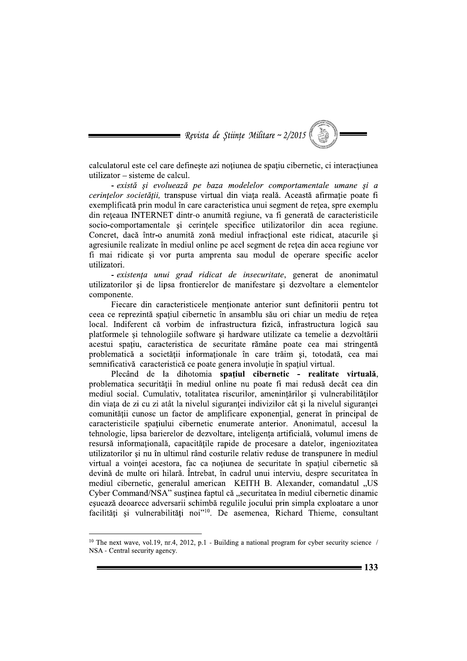

calculatorul este cel care definește azi noțiunea de spațiu cibernetic, ci interacțiunea utilizator – sisteme de calcul.

- există și evoluează pe baza modelelor comportamentale umane și a cerințelor societății, transpuse virtual din viața reală. Această afirmație poate fi exemplificată prin modul în care caracteristica unui segment de retea, spre exemplu din rețeaua INTERNET dintr-o anumită regiune, va fi generată de caracteristicile socio-comportamentale si cerintele specifice utilizatorilor din acea regiune. Concret, dacă într-o anumită zonă mediul infracțional este ridicat, atacurile și agresiunile realizate în mediul online pe acel segment de rețea din acea regiune vor fi mai ridicate și vor purta amprenta sau modul de operare specific acelor utilizatori.

- existența unui grad ridicat de insecuritate, generat de anonimatul utilizatorilor si de lipsa frontierelor de manifestare si dezvoltare a elementelor componente.

Fiecare din caracteristicele mentionate anterior sunt definitorii pentru tot ceea ce reprezintă spațiul cibernetic în ansamblu său ori chiar un mediu de rețea local. Indiferent că vorbim de infrastructura fizică, infrastructura logică sau platformele și tehnologiile software și hardware utilizate ca temelie a dezvoltării acestui spațiu, caracteristica de securitate rămâne poate cea mai stringentă problematică a societății informaționale în care trăim și, totodată, cea mai semnificativă caracteristică ce poate genera involuție în spațiul virtual.

Plecând de la dihotomia spatiul cibernetic - realitate virtuală, problematica securității în mediul online nu poate fi mai redusă decât cea din mediul social. Cumulativ, totalitatea riscurilor, amenințărilor și vulnerabilităților din viața de zi cu zi atât la nivelul siguranței indivizilor cât și la nivelul siguranței comunității cunosc un factor de amplificare exponențial, generat în principal de caracteristicile spațiului cibernetic enumerate anterior. Anonimatul, accesul la tehnologie, lipsa barierelor de dezvoltare, inteligența artificială, volumul imens de resursă informațională, capacitățile rapide de procesare a datelor, ingeniozitatea utilizatorilor și nu în ultimul rând costurile relativ reduse de transpunere în mediul virtual a vointei acestora, fac ca notiunea de securitate în spațiul cibernetic să devină de multe ori hilară. Întrebat, în cadrul unui interviu, despre securitatea în mediul cibernetic, generalul american KEITH B. Alexander, comandatul "US Cyber Command/NSA" susținea faptul că "securitatea în mediul cibernetic dinamic eșuează deoarece adversarii schimbă regulile jocului prin simpla exploatare a unor facilități și vulnerabilități noi<sup>210</sup>. De asemenea, Richard Thieme, consultant

<sup>&</sup>lt;sup>10</sup> The next wave, vol.19, nr.4, 2012, p.1 - Building a national program for cyber security science / NSA - Central security agency.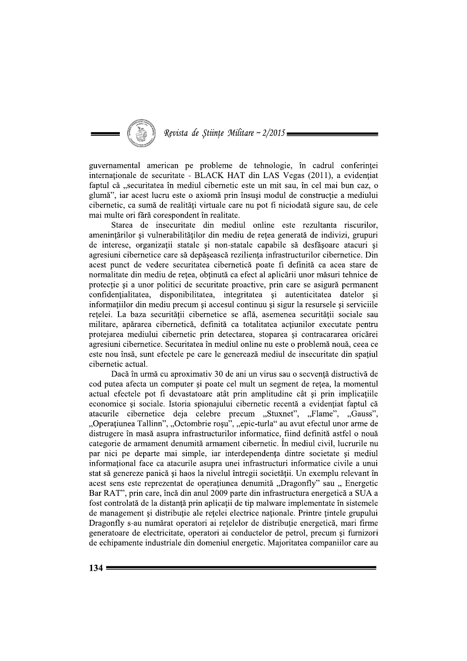## Revista de Stiințe Militare ~ 2/2015

guvernamental american pe probleme de tehnologie, în cadrul conferinței internationale de securitate - BLACK HAT din LAS Vegas (2011), a evidentiat faptul că "securitatea în mediul cibernetic este un mit sau, în cel mai bun caz, o glumă", iar acest lucru este o axiomă prin însuși modul de construcție a mediului cibernetic, ca sumă de realităti virtuale care nu pot fi niciodată sigure sau, de cele mai multe ori fără corespondent în realitate.

Starea de insecuritate din mediul online este rezultanta riscurilor, amenintărilor si vulnerabilitătilor din mediu de rețea generată de indivizi, grupuri de interese, organizații statale și non-statale capabile să desfășoare atacuri și agresiuni cibernetice care să depășească reziliența infrastructurilor cibernetice. Din acest punct de vedere securitatea cibernetică poate fi definită ca acea stare de normalitate din mediu de rețea, obținută ca efect al aplicării unor măsuri tehnice de protectie si a unor politici de securitate proactive, prin care se asigură permanent confidentialitatea, disponibilitatea, integritatea și autenticitatea datelor și informatiilor din mediu precum si accesul continuu si sigur la resursele si serviciile rețelei. La baza securității cibernetice se află, asemenea securității sociale sau militare, apărarea cibernetică, definită ca totalitatea actiunilor executate pentru protejarea mediului cibernetic prin detectarea, stoparea și contracararea oricărei agresiuni cibernetice. Securitatea în mediul online nu este o problemă nouă, ceea ce este nou însă, sunt efectele pe care le generează mediul de insecuritate din spațiul cibernetic actual.

Dacă în urmă cu aproximativ 30 de ani un virus sau o secvență distructivă de cod putea afecta un computer si poate cel mult un segment de retea, la momentul actual efectele pot fi devastatoare atât prin amplitudine cât și prin implicațiile economice și sociale. Istoria spionajului cibernetic recentă a evidențiat faptul că atacurile cibernetice deja celebre precum "Stuxnet", "Flame", "Gauss", "Operațiunea Tallinn", "Octombrie roșu", "epic-turla" au avut efectul unor arme de distrugere în masă asupra infrastructurilor informatice, fiind definită astfel o nouă categorie de armament denumită armament cibernetic. În mediul civil, lucrurile nu par nici pe departe mai simple, iar interdependența dintre societate și mediul informational face ca atacurile asupra unei infrastructuri informatice civile a unui stat să genereze panică și haos la nivelul întregii societății. Un exemplu relevant în acest sens este reprezentat de operatiunea denumită "Dragonfly" sau " Energetic Bar RAT", prin care, încă din anul 2009 parte din infrastructura energetică a SUA a fost controlată de la distantă prin aplicatii de tip malware implementate în sistemele de management si distributie ale retelei electrice nationale. Printre tintele grupului Dragonfly s-au numărat operatori ai retelelor de distributie energetică, mari firme generatoare de electricitate, operatori ai conductelor de petrol, precum si furnizori de echipamente industriale din domeniul energetic. Majoritatea companiilor care au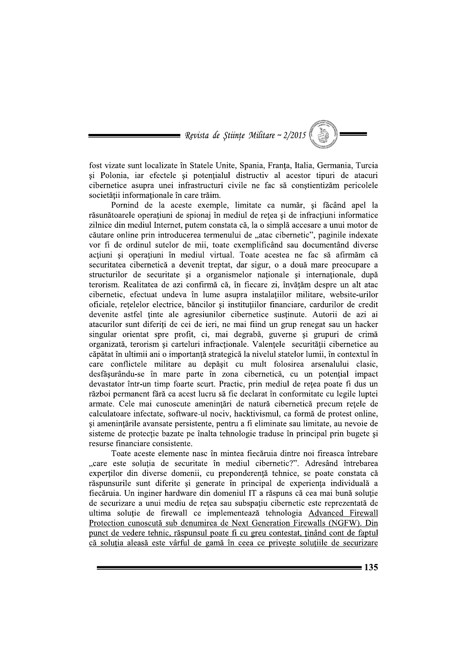Revista de Științe Militare ~  $2/2015$ 

fost vizate sunt localizate în Statele Unite, Spania, Franța, Italia, Germania, Turcia si Polonia, iar efectele si potentialul distructiv al acestor tipuri de atacuri cibernetice asupra unei infrastructuri civile ne fac să constientizăm pericolele societății informaționale în care trăim.

Pornind de la aceste exemple, limitate ca număr, și făcând apel la răsunătoarele operațiuni de spionaj în mediul de rețea și de infracțiuni informatice zilnice din mediul Internet, putem constata că, la o simplă accesare a unui motor de căutare online prin introducerea termenului de "atac cibernetic", paginile indexate vor fi de ordinul sutelor de mii, toate exemplificând sau documentând diverse acțiuni și operațiuni în mediul virtual. Toate acestea ne fac să afirmăm că securitatea cibernetică a devenit treptat, dar sigur, o a două mare preocupare a structurilor de securitate și a organismelor naționale și internaționale, după terorism. Realitatea de azi confirmă că, în fiecare zi, învătăm despre un alt atac cibernetic, efectuat undeva în lume asupra instalațiilor militare, website-urilor oficiale, rețelelor electrice, băncilor și instituțiilor financiare, cardurilor de credit devenite astfel tinte ale agresiunilor cibernetice sustinute. Autorii de azi ai atacurilor sunt diferiți de cei de ieri, ne mai fiind un grup renegat sau un hacker singular orientat spre profit, ci, mai degrabă, guverne și grupuri de crimă organizată, terorism și carteluri infracționale. Valențele securității cibernetice au căpătat în ultimii ani o importanță strategică la nivelul statelor lumii, în contextul în care conflictele militare au depășit cu mult folosirea arsenalului clasic, desfăsurându-se în mare parte în zona cibernetică, cu un potențial impact devastator într-un timp foarte scurt. Practic, prin mediul de rețea poate fi dus un război permanent fără ca acest lucru să fie declarat în conformitate cu legile luptei armate. Cele mai cunoscute amenințări de natură cibernetică precum rețele de calculatoare infectate, software-ul nociv, hacktivismul, ca formă de protest online, și amenințările avansate persistente, pentru a fi eliminate sau limitate, au nevoie de sisteme de protecție bazate pe înalta tehnologie traduse în principal prin bugete și resurse financiare consistente.

Toate aceste elemente nasc în mintea fiecăruia dintre noi fireasca întrebare "care este soluția de securitate în mediul cibernetic?". Adresând întrebarea expertilor din diverse domenii, cu preponderență tehnice, se poate constata că răspunsurile sunt diferite și generate în principal de experiența individuală a fiecăruia. Un inginer hardware din domeniul IT a răspuns că cea mai bună soluție de securizare a unui mediu de retea sau subspatiu cibernetic este reprezentată de ultima solutie de firewall ce implementează tehnologia Advanced Firewall Protection cunoscută sub denumirea de Next Generation Firewalls (NGFW). Din punct de vedere tehnic, răspunsul poate fi cu greu contestat, tinând cont de faptul că soluția aleasă este vârful de gamă în ceea ce privește soluțiile de securizare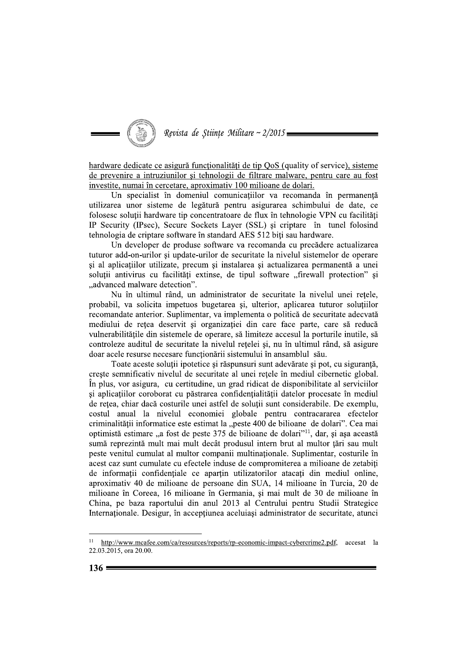

hardware dedicate ce asigură funcționalități de tip QoS (quality of service), sisteme de prevenire a intruziunilor și tehnologii de filtrare malware, pentru care au fost investite, numai în cercetare, aproximativ 100 milioane de dolari.

Un specialist în domeniul comunicațiilor va recomanda în permanență utilizarea unor sisteme de legătură pentru asigurarea schimbului de date, ce folosesc soluții hardware tip concentratoare de flux în tehnologie VPN cu facilități IP Security (IPsec), Secure Sockets Layer (SSL) și criptare în tunel folosind tehnologia de criptare software în standard AES 512 biți sau hardware.

Un developer de produse software va recomanda cu precădere actualizarea tuturor add-on-urilor și update-urilor de securitate la nivelul sistemelor de operare si al aplicațiilor utilizate, precum și instalarea și actualizarea permanentă a unei soluții antivirus cu facilități extinse, de tipul software "firewall protection" și ..advanced malware detection".

Nu în ultimul rând, un administrator de securitate la nivelul unei rețele, probabil, va solicita impetuos bugetarea și, ulterior, aplicarea tuturor soluțiilor recomandate anterior. Suplimentar, va implementa o politică de securitate adecvată mediului de rețea deservit și organizației din care face parte, care să reducă vulnerabilitățile din sistemele de operare, să limiteze accesul la porturile inutile, să controleze auditul de securitate la nivelul rețelei și, nu în ultimul rând, să asigure doar acele resurse necesare funcționării sistemului în ansamblul său.

Toate aceste soluții ipotetice și răspunsuri sunt adevărate și pot, cu siguranță, creste semnificativ nivelul de securitate al unei retele în mediul cibernetic global. În plus, vor asigura, cu certitudine, un grad ridicat de disponibilitate al serviciilor și aplicațiilor coroborat cu păstrarea confidențialității datelor procesate în mediul de rețea, chiar dacă costurile unei astfel de soluții sunt considerabile. De exemplu, costul anual la nivelul economiei globale pentru contracararea efectelor criminalității informatice este estimat la "peste 400 de bilioane de dolari". Cea mai optimistă estimare "a fost de peste 375 de bilioane de dolari"<sup>11</sup>, dar, și așa această sumă reprezintă mult mai mult decât produsul intern brut al multor țări sau mult peste venitul cumulat al multor companii multinaționale. Suplimentar, costurile în acest caz sunt cumulate cu efectele induse de compromiterea a milioane de zetabiti de informatii confidentiale ce apartin utilizatorilor atacati din mediul online, aproximativ 40 de milioane de persoane din SUA, 14 milioane în Turcia, 20 de milioane în Coreea, 16 milioane în Germania, și mai mult de 30 de milioane în China, pe baza raportului din anul 2013 al Centrului pentru Studii Strategice Internationale. Desigur, în acceptiunea aceluiasi administrator de securitate, atunci

<sup>&</sup>lt;sup>11</sup> http://www.mcafee.com/ca/resources/reports/rp-economic-impact-cybercrime2.pdf, accesat la 22.03.2015, ora 20.00.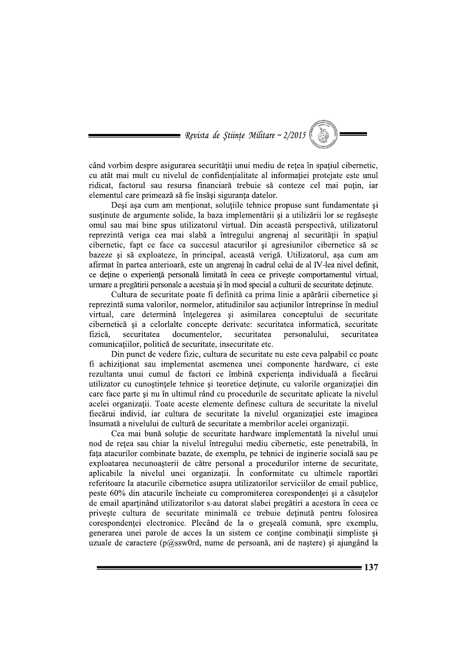

când vorbim despre asigurarea securității unui mediu de rețea în spațiul cibernetic, cu atât mai mult cu nivelul de confidentialitate al informației protejate este unul ridicat, factorul sau resursa financiară trebuie să conteze cel mai putin, iar elementul care primează să fie însăși siguranța datelor.

Desi asa cum am mentionat, solutiile tehnice propuse sunt fundamentate si sustinute de argumente solide, la baza implementării și a utilizării lor se regăsește omul sau mai bine spus utilizatorul virtual. Din această perspectivă, utilizatorul reprezintă veriga cea mai slabă a întregului angrenaj al securității în spațiul cibernetic, fapt ce face ca succesul atacurilor și agresiunilor cibernetice să se bazeze și să exploateze, în principal, această verigă. Utilizatorul, așa cum am afirmat în partea anterioară, este un angrenaj în cadrul celui de al IV-lea nivel definit, ce deține o experiență personală limitată în ceea ce privește comportamentul virtual, urmare a pregătirii personale a acestuia și în mod special a culturii de securitate detinute.

Cultura de securitate poate fi definită ca prima linie a apărării cibernetice și reprezintă suma valorilor, normelor, atitudinilor sau actiunilor întreprinse în mediul virtual, care determină întelegerea și asimilarea conceptului de securitate cibernetică si a celorialte concepte derivate: securitatea informatică, securitate documentelor. fizică. securitatea securitatea personalului. securitatea comunicațiilor, politică de securitate, insecuritate etc.

Din punct de vedere fizic, cultura de securitate nu este ceva palpabil ce poate fi achizitionat sau implementat asemenea unei componente hardware, ci este rezultanta unui cumul de factori ce îmbină experienta individuală a fiecărui utilizator cu cunostintele tehnice si teoretice detinute, cu valorile organizatiei din care face parte si nu în ultimul rând cu procedurile de securitate aplicate la nivelul acelei organizații. Toate aceste elemente definesc cultura de securitate la nivelul fiecărui individ, iar cultura de securitate la nivelul organizației este imaginea însumată a nivelului de cultură de securitate a membrilor acelei organizații.

Cea mai bună soluție de securitate hardware implementată la nivelul unui nod de rețea sau chiar la nivelul întregului mediu cibernetic, este penetrabilă, în fața atacurilor combinate bazate, de exemplu, pe tehnici de inginerie socială sau pe exploatarea necunoașterii de către personal a procedurilor interne de securitate, aplicabile la nivelul unei organizații. În conformitate cu ultimele raportări referitoare la atacurile cibernetice asupra utilizatorilor serviciilor de email publice, peste 60% din atacurile încheiate cu compromiterea corespondenței și a căsuțelor de email apartinând utilizatorilor s-au datorat slabei pregătiri a acestora în ceea ce priveste cultura de securitate minimală ce trebuie detinută pentru folosirea corespondenței electronice. Plecând de la o greșeală comună, spre exemplu, generarea unei parole de acces la un sistem ce contine combinatii simpliste si uzuale de caractere (p $\omega$ ssw $0$ rd, nume de persoană, ani de nastere) și ajungând la

 $= 137$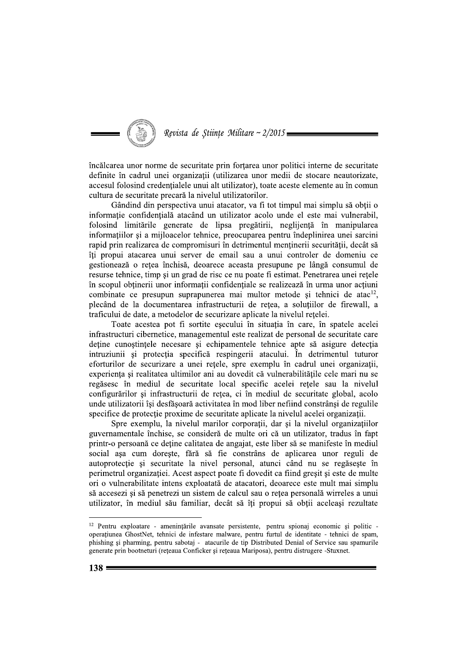

încălcarea unor norme de securitate prin forțarea unor politici interne de securitate definite în cadrul unei organizații (utilizarea unor medii de stocare neautorizate, accesul folosind credentialele unui alt utilizator), toate aceste elemente au în comun cultura de securitate precară la nivelul utilizatorilor.

Gândind din perspectiva unui atacator, va fi tot timpul mai simplu să obtii o informație confidențială atacând un utilizator acolo unde el este mai vulnerabil, folosind limitările generate de lipsa pregătirii, neglijență în manipularea informațiilor și a mijloacelor tehnice, preocuparea pentru îndeplinirea unei sarcini rapid prin realizarea de compromisuri în detrimentul menținerii securității, decât să îți propui atacarea unui server de email sau a unui controler de domeniu ce gestionează o retea închisă, deoarece aceasta presupune pe lângă consumul de resurse tehnice, timp și un grad de risc ce nu poate fi estimat. Penetrarea unei rețele în scopul obtinerii unor informatii confidentiale se realizează în urma unor actiuni combinate ce presupun suprapunerea mai multor metode și tehnici de atac<sup>12</sup>, plecând de la documentarea infrastructurii de retea, a solutiilor de firewall, a traficului de date, a metodelor de securizare aplicate la nivelul retelei.

Toate acestea pot fi sortite esecului în situatia în care, în spatele acelei infrastructuri cibernetice, managementul este realizat de personal de securitate care deține cunoștințele necesare și echipamentele tehnice apte să asigure detecția intruziunii și protecția specifică respingerii atacului. În detrimentul tuturor eforturilor de securizare a unei rețele, spre exemplu în cadrul unei organizații, experienta și realitatea ultimilor ani au dovedit că vulnerabilitățile cele mari nu se regăsesc în mediul de securitate local specific acelei rețele sau la nivelul configurărilor și infrastructurii de rețea, ci în mediul de securitate global, acolo unde utilizatorii își desfășoară activitatea în mod liber nefiind constrânși de regulile specifice de protecție proxime de securitate aplicate la nivelul acelei organizații.

Spre exemplu, la nivelul marilor corporații, dar și la nivelul organizațiilor guvernamentale închise, se consideră de multe ori că un utilizator, tradus în fapt printr-o persoană ce deține calitatea de angajat, este liber să se manifeste în mediul social așa cum dorește, fără să fie constrâns de aplicarea unor reguli de autoprotecție și securitate la nivel personal, atunci când nu se regăsește în perimetrul organizației. Acest aspect poate fi dovedit ca fiind greșit și este de multe ori o vulnerabilitate intens exploatată de atacatori, deoarece este mult mai simplu să accesezi și să penetrezi un sistem de calcul sau o rețea personală wirreles a unui utilizator, în mediul său familiar, decât să îti propui să obtii aceleasi rezultate

<sup>&</sup>lt;sup>12</sup> Pentru exploatare - amenințările avansate persistente, pentru spionaj economic și politic operațiunea GhostNet, tehnici de infestare malware, pentru furtul de identitate - tehnici de spam, phishing și pharming, pentru sabotaj - atacurile de tip Distributed Denial of Service sau spamurile generate prin bootneturi (rețeaua Conficker și rețeaua Mariposa), pentru distrugere -Stuxnet.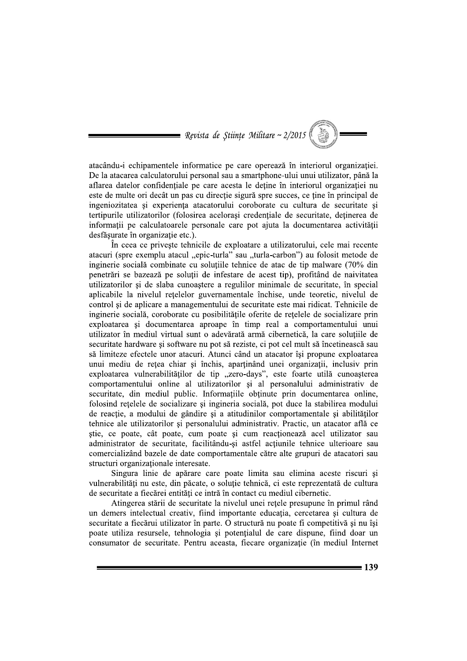

atacându-i echipamentele informatice pe care operează în interiorul organizației. De la atacarea calculatorului personal sau a smartphone-ului unui utilizator, până la aflarea datelor confidentiale pe care acesta le detine în interiorul organizatiei nu este de multe ori decât un pas cu direcție sigură spre succes, ce ține în principal de ingeniozitatea si experienta atacatorului coroborate cu cultura de securitate si tertipurile utilizatorilor (folosirea acelorași credențiale de securitate, deținerea de informații pe calculatoarele personale care pot ajuta la documentarea activității desfăsurate în organizație etc.).

În ceea ce priveste tehnicile de exploatare a utilizatorului, cele mai recente atacuri (spre exemplu atacul "epic-turla" sau "turla-carbon") au folosit metode de inginerie socială combinate cu solutiile tehnice de atac de tip malware (70% din penetrări se bazează pe soluții de infestare de acest tip), profitând de naivitatea utilizatorilor si de slaba cunoastere a regulilor minimale de securitate, în special aplicabile la nivelul retelelor guvernamentale închise, unde teoretic, nivelul de control si de aplicare a managementului de securitate este mai ridicat. Tehnicile de inginerie socială, coroborate cu posibilitățile oferite de retelele de socializare prin exploatarea si documentarea aproape în timp real a comportamentului unui utilizator în mediul virtual sunt o adevărată armă cibernetică, la care solutiile de securitate hardware și software nu pot să reziste, ci pot cel mult să încetinească sau să limiteze efectele unor atacuri. Atunci când un atacator își propune exploatarea unui mediu de rețea chiar și închis, aparținând unei organizații, inclusiv prin exploatarea vulnerabilităților de tip "zero-days", este foarte utilă cunoașterea comportamentului online al utilizatorilor și al personalului administrativ de securitate, din mediul public. Informatiile obtinute prin documentarea online, folosind rețelele de socializare și ingineria socială, pot duce la stabilirea modului de reacție, a modului de gândire și a atitudinilor comportamentale și abilităților tehnice ale utilizatorilor și personalului administrativ. Practic, un atacator află ce știe, ce poate, cât poate, cum poate și cum reacționează acel utilizator sau administrator de securitate, facilitându-și astfel acțiunile tehnice ulterioare sau comercializând bazele de date comportamentale către alte grupuri de atacatori sau structuri organizationale interesate.

Singura linie de apărare care poate limita sau elimina aceste riscuri și vulnerabilități nu este, din păcate, o soluție tehnică, ci este reprezentată de cultura de securitate a fiecărei entități ce intră în contact cu mediul cibernetic.

Atingerea stării de securitate la nivelul unei retele presupune în primul rând un demers intelectual creativ, fiind importante educatia, cercetarea si cultura de securitate a fiecărui utilizator în parte. O structură nu poate fi competitivă și nu îsi poate utiliza resursele, tehnologia si potentialul de care dispune, fiind doar un consumator de securitate. Pentru aceasta, fiecare organizație (în mediul Internet

 $= 139$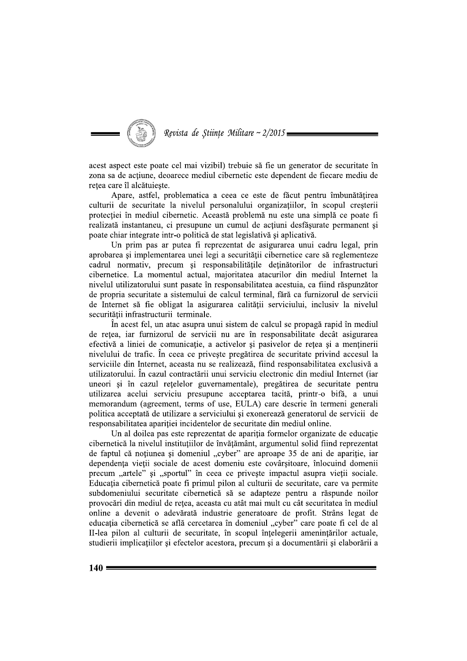Revista de Științe Militare ~ 2/2015:

acest aspect este poate cel mai vizibil) trebuie să fie un generator de securitate în zona sa de actiune, deoarece mediul cibernetic este dependent de fiecare mediu de retea care îl alcătuieste.

Apare, astfel, problematica a ceea ce este de făcut pentru îmbunătățirea culturii de securitate la nivelul personalului organizatiilor, în scopul cresterii protecției în mediul cibernetic. Această problemă nu este una simplă ce poate fi realizată instantaneu, ci presupune un cumul de acțiuni desfășurate permanent și poate chiar integrate intr-o politică de stat legislativă și aplicativă.

Un prim pas ar putea fi reprezentat de asigurarea unui cadru legal, prin aprobarea și implementarea unei legi a securității cibernetice care să reglementeze cadrul normativ, precum și responsabilitățile deținătorilor de infrastructuri cibernetice. La momentul actual, majoritatea atacurilor din mediul Internet la nivelul utilizatorului sunt pasate în responsabilitatea acestuia, ca fiind răspunzător de propria securitate a sistemului de calcul terminal, fără ca furnizorul de servicii de Internet să fie obligat la asigurarea calității serviciului, inclusiv la nivelul securității infrastructurii terminale.

În acest fel, un atac asupra unui sistem de calcul se propagă rapid în mediul de rețea, iar furnizorul de servicii nu are în responsabilitate decât asigurarea efectivă a liniei de comunicație, a activelor și pasivelor de rețea și a menținerii nivelului de trafic. În ceea ce privește pregătirea de securitate privind accesul la serviciile din Internet, aceasta nu se realizează, fiind responsabilitatea exclusivă a utilizatorului. În cazul contractării unui serviciu electronic din mediul Internet (iar uneori și în cazul rețelelor guvernamentale), pregătirea de securitate pentru utilizarea acelui serviciu presupune acceptarea tacită, printr-o bifă, a unui memorandum (agreement, terms of use, EULA) care descrie în termeni generali politica acceptată de utilizare a serviciului și exonerează generatorul de servicii de responsabilitatea apariției incidentelor de securitate din mediul online.

Un al doilea pas este reprezentat de apariția formelor organizate de educație cibernetică la nivelul instituțiilor de învățământ, argumentul solid fiind reprezentat de faptul că noțiunea și domeniul "cyber" are aproape 35 de ani de apariție, iar dependenta vietii sociale de acest domeniu este covârsitoare, înlocuind domenii precum "artele" și "sportul" în ceea ce privește impactul asupra vieții sociale. Educația cibernetică poate fi primul pilon al culturii de securitate, care va permite subdomeniului securitate cibernetică să se adapteze pentru a răspunde noilor provocări din mediul de retea, aceasta cu atât mai mult cu cât securitatea în mediul online a devenit o adevărată industrie generatoare de profit. Strâns legat de educația cibernetică se află cercetarea în domeniul "cyber" care poate fi cel de al II-lea pilon al culturii de securitate, în scopul întelegerii amenintărilor actuale, studierii implicațiilor și efectelor acestora, precum și a documentării și elaborării a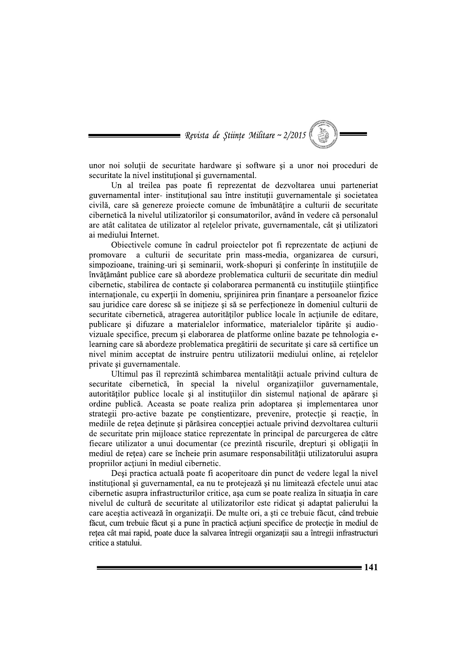

unor noi soluții de securitate hardware și software și a unor noi proceduri de securitate la nivel institutional și guvernamental.

Un al treilea pas poate fi reprezentat de dezvoltarea unui parteneriat guvernamental inter- institutional sau între instituții guvernamentale și societatea civilă, care să genereze proiecte comune de îmbunătătire a culturii de securitate cibernetică la nivelul utilizatorilor și consumatorilor, având în vedere că personalul are atât calitatea de utilizator al retelelor private, guvernamentale, cât și utilizatori ai mediului Internet.

Objectivele comune în cadrul projectelor pot fi reprezentate de acțiuni de promovare a culturii de securitate prin mass-media, organizarea de cursuri, simpozioane, training-uri și seminarii, work-shopuri și conferințe în instituțiile de învățământ publice care să abordeze problematica culturii de securitate din mediul cibernetic, stabilirea de contacte și colaborarea permanentă cu instituțiile științifice internaționale, cu experții în domeniu, sprijinirea prin finanțare a persoanelor fizice sau juridice care doresc să se initieze și să se perfectioneze în domeniul culturii de securitate cibernetică, atragerea autorităților publice locale în acțiunile de editare, publicare și difuzare a materialelor informatice, materialelor tipărite și audiovizuale specifice, precum și elaborarea de platforme online bazate pe tehnologia elearning care să abordeze problematica pregătirii de securitate și care să certifice un nivel minim acceptat de instruire pentru utilizatorii mediului online, ai rețelelor private și guvernamentale.

Ultimul pas îl reprezintă schimbarea mentalității actuale privind cultura de securitate cibernetică, în special la nivelul organizațiilor guvernamentale, autorităților publice locale și al instituțiilor din sistemul național de apărare și ordine publică. Aceasta se poate realiza prin adoptarea și implementarea unor strategii pro-active bazate pe conștientizare, prevenire, protecție și reacție, în mediile de rețea deținute și părăsirea concepției actuale privind dezvoltarea culturii de securitate prin mijloace statice reprezentate în principal de parcurgerea de către fiecare utilizator a unui documentar (ce prezintă riscurile, drepturi și obligații în mediul de rețea) care se încheie prin asumare responsabilității utilizatorului asupra propriilor actiuni în mediul cibernetic.

Desi practica actuală poate fi acoperitoare din punct de vedere legal la nivel instituțional și guvernamental, ea nu te protejează și nu limitează efectele unui atac cibernetic asupra infrastructurilor critice, asa cum se poate realiza în situația în care nivelul de cultură de securitate al utilizatorilor este ridicat și adaptat palierului la care acestia activează în organizatii. De multe ori, a sti ce trebuie făcut, când trebuie făcut, cum trebuie făcut si a pune în practică actiuni specifice de protectie în mediul de retea cât mai rapid, poate duce la salvarea întregii organizatii sau a întregii infrastructuri critice a statului.

 $= 141$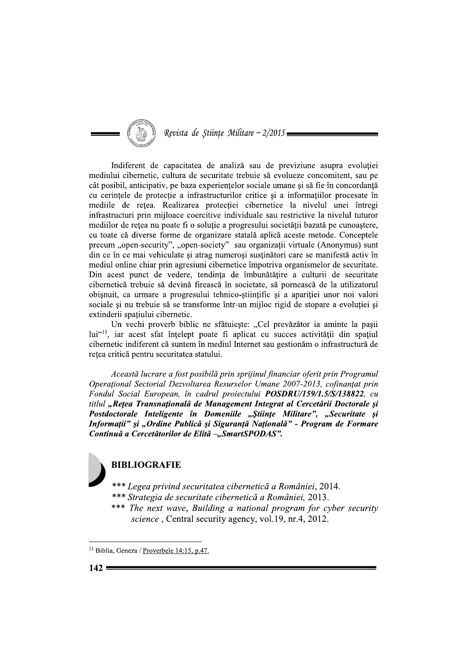

Indiferent de capacitatea de analiză sau de previziune asupra evoluției mediului cibernetic, cultura de securitate trebuie să evolueze concomitent, sau pe cât posibil, anticipativ, pe baza experientelor sociale umane si să fie în concordantă cu cerințele de protecție a infrastructurilor critice și a informațiilor procesate în medille de retea. Realizarea protectiei cibernetice la nivelul unei întregi infrastructuri prin mijloace coercitive individuale sau restrictive la nivelul tuturor mediilor de rețea nu poate fi o soluție a progresului societății bazată pe cunoaștere, cu toate că diverse forme de organizare statală aplică aceste metode. Conceptele precum "open-security", "open-society" sau organizații virtuale (Anonymus) sunt din ce în ce mai vehiculate și atrag numeroși susținători care se manifestă activ în mediul online chiar prin agresiuni cibernetice împotriva organismelor de securitate. Din acest punct de vedere, tendința de îmbunătățire a culturii de securitate cibernetică trebuie să devină firească în societate, să pornească de la utilizatorul obișnuit, ca urmare a progresului tehnico-științific și a apariției unor noi valori sociale și nu trebuie să se transforme într-un mijloc rigid de stopare a evoluției și extinderii spatiului cibernetic.

Un vechi proverb biblic ne sfătuiește: "Cel prevăzător ia aminte la pașii lui<sup>413</sup>, iar acest sfat înțelept poate fi aplicat cu succes activității din spațiul cibernetic indiferent că suntem în mediul Internet sau gestionăm o infrastructură de rețea critică pentru securitatea statului.

Această lucrare a fost posibilă prin sprijinul financiar oferit prin Programul Operational Sectorial Dezvoltarea Resurselor Umane 2007-2013, cofinantat prin Fondul Social European, în cadrul proiectului **POSDRU/159/1.5/S/138822**, cu titlul "Rețea Transnațională de Management Integrat al Cercetării Doctorale și Postdoctorale Inteligente în Domeniile "Științe Militare", "Securitate și Informații" și "Ordine Publică și Siguranță Națională" - Program de Formare Continuă a Cercetătorilor de Elită -"SmartSPODAS".

# **BIBLIOGRAFIE**

\*\*\* Legea privind securitatea cibernetică a României, 2014. \*\*\* Strategia de securitate cibernetică a României, 2013.

\*\*\* The next wave, Building a national program for cyber security science, Central security agency, vol.19, nr.4, 2012.

<sup>&</sup>lt;sup>13</sup> Biblia, Geneza / Proverbele 14:15, p.47.